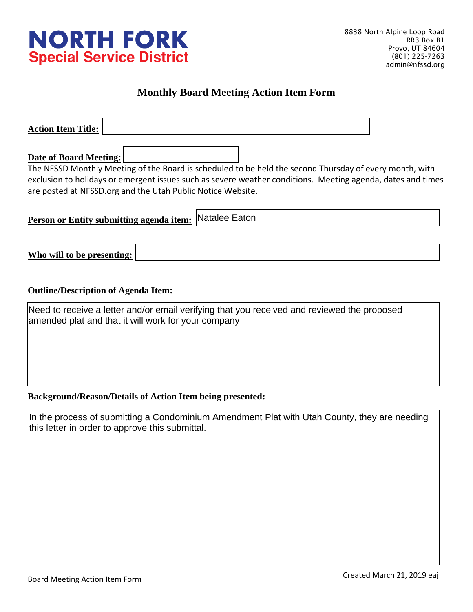

## **Monthly Board Meeting Action Item Form**

| <b>Action Item Title:</b>                                                                                                                          |
|----------------------------------------------------------------------------------------------------------------------------------------------------|
|                                                                                                                                                    |
| <b>Date of Board Meeting:</b>                                                                                                                      |
| The NFSSD Monthly Meeting of the Board is scheduled to be held the second Thursday of every month, with                                            |
| exclusion to holidays or emergent issues such as severe weather conditions. Meeting agenda, dates and times                                        |
| are posted at NFSSD.org and the Utah Public Notice Website.                                                                                        |
|                                                                                                                                                    |
| Natalee Eaton<br>Person or Entity submitting agenda item:                                                                                          |
|                                                                                                                                                    |
| Who will to be presenting:                                                                                                                         |
|                                                                                                                                                    |
| <b>Outline/Description of Agenda Item:</b>                                                                                                         |
| Need to receive a letter and/or email verifying that you received and reviewed the proposed<br>amended plat and that it will work for your company |
|                                                                                                                                                    |

## **Background/Reason/Details of Action Item being presented:**

In the process of submitting a Condominium Amendment Plat with Utah County, they are needing this letter in order to approve this submittal.